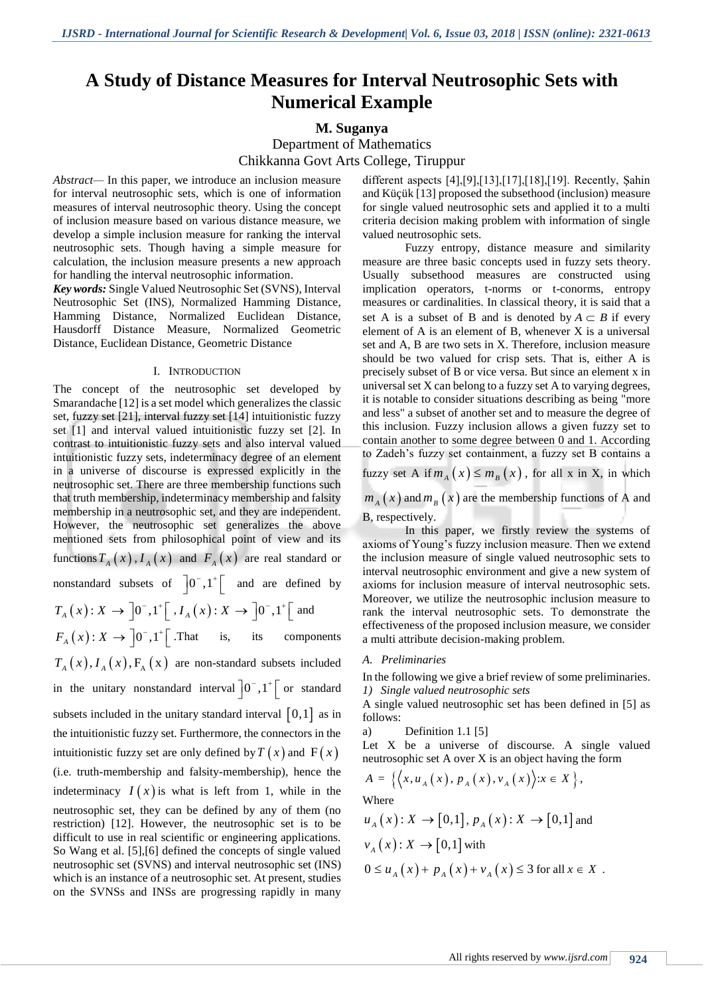# **A Study of Distance Measures for Interval Neutrosophic Sets with Numerical Example**

# **M. Suganya**

Department of Mathematics Chikkanna Govt Arts College, Tiruppur

*Abstract—* In this paper, we introduce an inclusion measure for interval neutrosophic sets, which is one of information measures of interval neutrosophic theory. Using the concept of inclusion measure based on various distance measure, we develop a simple inclusion measure for ranking the interval neutrosophic sets. Though having a simple measure for calculation, the inclusion measure presents a new approach for handling the interval neutrosophic information.

*Key words:* Single Valued Neutrosophic Set (SVNS), Interval Neutrosophic Set (INS), Normalized Hamming Distance, Hamming Distance, Normalized Euclidean Distance, Hausdorff Distance Measure, Normalized Geometric Distance, Euclidean Distance, Geometric Distance

#### I. INTRODUCTION

The concept of the neutrosophic set developed by Smarandache [12] is a set model which generalizes the classic set, fuzzy set [21], interval fuzzy set [14] intuitionistic fuzzy set [1] and interval valued intuitionistic fuzzy set [2]. In contrast to intuitionistic fuzzy sets and also interval valued intuitionistic fuzzy sets, indeterminacy degree of an element in a universe of discourse is expressed explicitly in the neutrosophic set. There are three membership functions such that truth membership, indeterminacy membership and falsity membership in a neutrosophic set, and they are independent. However, the neutrosophic set generalizes the above mentioned sets from philosophical point of view and its functions  $T_A(x)$ ,  $I_A(x)$  and  $F_A(x)$  are real standard or nonstandard subsets of  $\begin{bmatrix} 0 \\ 0 \\ 0 \end{bmatrix}$ ,  $1^+$  and are defined by  $T_A(x): X \to [0^-, 1^+] \, [ \, , I_A(x): X \to [0^-, 1^+] \, [ \, \text{and}$  $F_A(x): X \to \left]0^-, 1^+ \right[$ . That is, its components  $T_A(x)$ ,  $I_A(x)$ ,  $F_A(x)$  are non-standard subsets included in the unitary nonstandard interval  $\left]0^{-}$ ,  $1^{+}\right[$  or standard subsets included in the unitary standard interval  $[0,1]$  as in the intuitionistic fuzzy set. Furthermore, the connectors in the intuitionistic fuzzy set are only defined by  $T(x)$  and  $F(x)$ (i.e. truth-membership and falsity-membership), hence the indeterminacy  $I(x)$  is what is left from 1, while in the neutrosophic set, they can be defined by any of them (no restriction) [12]. However, the neutrosophic set is to be difficult to use in real scientific or engineering applications. So Wang et al. [5],[6] defined the concepts of single valued neutrosophic set (SVNS) and interval neutrosophic set (INS) which is an instance of a neutrosophic set. At present, studies on the SVNSs and INSs are progressing rapidly in many

different aspects [4],[9],[13],[17],[18],[19]. Recently, Şahin and Küçük [13] proposed the subsethood (inclusion) measure for single valued neutrosophic sets and applied it to a multi criteria decision making problem with information of single valued neutrosophic sets.

Fuzzy entropy, distance measure and similarity measure are three basic concepts used in fuzzy sets theory. Usually subsethood measures are constructed using implication operators, t-norms or t-conorms, entropy measures or cardinalities. In classical theory, it is said that a set A is a subset of B and is denoted by  $A \subset B$  if every element of A is an element of B, whenever X is a universal set and A, B are two sets in X. Therefore, inclusion measure should be two valued for crisp sets. That is, either A is precisely subset of B or vice versa. But since an element x in universal set X can belong to a fuzzy set A to varying degrees, it is notable to consider situations describing as being "more and less" a subset of another set and to measure the degree of this inclusion. Fuzzy inclusion allows a given fuzzy set to contain another to some degree between 0 and 1. According to Zadeh's fuzzy set containment, a fuzzy set B contains a

fuzzy set A if  $m_A(x) \leq m_B(x)$ , for all x in X, in which

 $m_A(x)$  and  $m_B(x)$  are the membership functions of A and B, respectively.

In this paper, we firstly review the systems of axioms of Young's fuzzy inclusion measure. Then we extend the inclusion measure of single valued neutrosophic sets to interval neutrosophic environment and give a new system of axioms for inclusion measure of interval neutrosophic sets. Moreover, we utilize the neutrosophic inclusion measure to rank the interval neutrosophic sets. To demonstrate the effectiveness of the proposed inclusion measure, we consider a multi attribute decision-making problem.

#### *A. Preliminaries*

In the following we give a brief review of some preliminaries. *1) Single valued neutrosophic sets* 

A single valued neutrosophic set has been defined in [5] as follows:

a) Definition 1.1 [5]

Let X be a universe of discourse. A single valued

neutrosophic set A over X is an object having the form  
\n
$$
A = \{ \langle x, u_A(x), p_A(x), v_A(x) \rangle : x \in X \},
$$

Where

$$
u_A(x): X \to [0,1], p_A(x): X \to [0,1] \text{ and}
$$
  

$$
v_A(x): X \to [0,1] \text{ with}
$$
  

$$
0 \le u_A(x) + p_A(x) + v_A(x) \le 3 \text{ for all } x \in X.
$$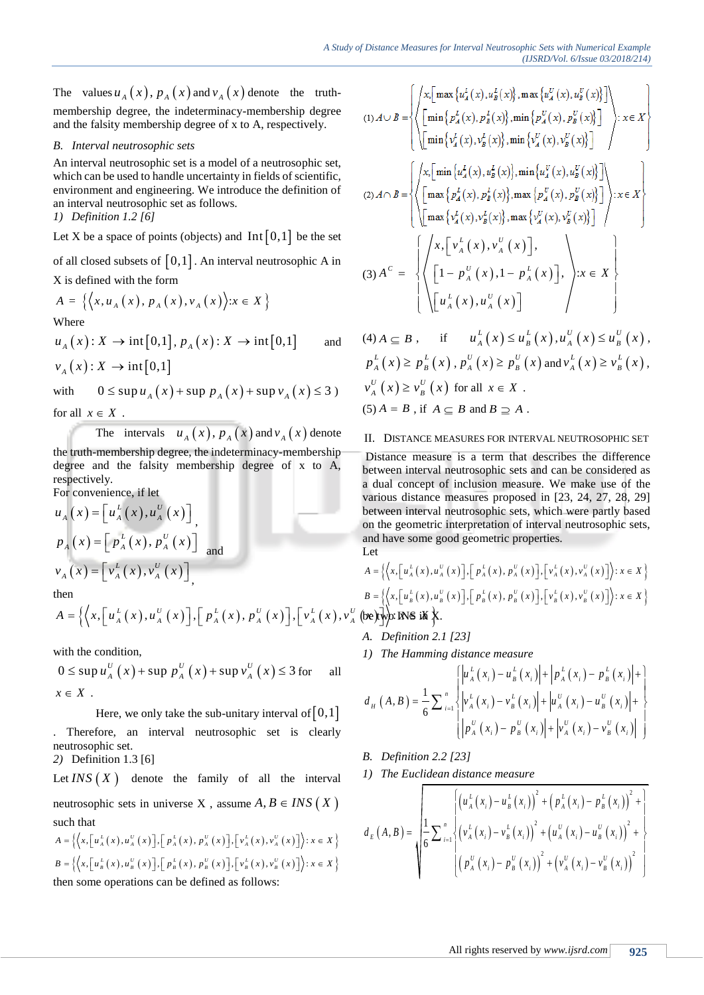The values  $u_A(x)$ ,  $p_A(x)$  and  $v_A(x)$  denote the truthmembership degree, the indeterminacy-membership degree and the falsity membership degree of x to A, respectively.

# *B. Interval neutrosophic sets*

An interval neutrosophic set is a model of a neutrosophic set, which can be used to handle uncertainty in fields of scientific, environment and engineering. We introduce the definition of an interval neutrosophic set as follows.

*1) Definition 1.2 [6]*

Let X be a space of points (objects) and  $Int[0,1]$  be the set

of all closed subsets of  $[0,1]$ . An interval neutrosophic A in X is defined with the form

A is defined with the form  
\n
$$
A = \{ \langle x, u_A(x), p_A(x), v_A(x) \rangle : x \in X \}
$$
\nWhere

$$
u_A(x): X \to \text{int}[0,1], p_A(x): X \to \text{int}[0,1] \quad \text{and}
$$
  

$$
v_A(x): X \to \text{int}[0,1]
$$

with  $\Delta \to \text{int}[0,1]$ <br> $0 \leq \text{sup } u_A(x) + \text{sup } p_A(x) + \text{sup } v_A(x) \leq 3$ for all  $x \in X$ .

The intervals 
$$
u_A(x), p_A(x)
$$
 and  $v_A(x)$  denote

the truth-membership degree, the indeterminacy-membership degree and the falsity membership degree of x to A, respectively.

For convenience, if let

$$
u_A(x) = \left[u_A^L(x), u_A^U(x)\right]_x
$$
  
\n
$$
p_A(x) = \left[p_A^L(x), p_A^U(x)\right]_a
$$
  
\n
$$
v_A(x) = \left[v_A^L(x), v_A^U(x)\right]_x
$$
  
\nthen

$$
A(x) = \begin{bmatrix} A(x), A(x) \\ A(x) \end{bmatrix},
$$
  
then  

$$
A = \left\{ \left\langle x, \left[ u_a^L(x), u_a^U(x) \right], \left[ p_A^L(x), p_A^U(x) \right], \left[ v_A^L(x), v_A^U(\text{be}) \right] \right\} \right\}
$$

$$
B = \left\{ \left\langle x, \left[ u_a^L(x), u_a^U(x) \right], \left[ p_A^L(x), p_A^U(x) \right], \left[ v_A^L(x), v_A^U(\text{be}) \right] \right\} \right\}
$$

with the condition,  
\n
$$
0 \le \sup u_A^U(x) + \sup p_A^U(x) + \sup v_A^U(x) \le 3
$$
 for all  
\n $x \in X$ .

Here, we only take the sub-unitary interval of  $[0,1]$ . Therefore, an interval neutrosophic set is clearly neutrosophic set.

*2)* Definition 1.3 [6]

Let  $INS(X)$  denote the family of all the interval neutrosophic sets in universe X, assume  $A, B \in INS(X)$ such that

such that  
\n
$$
A = \left\{ \left\langle x, \left[ u_{A}^{L}(x), u_{A}^{U}(x) \right], \left[ p_{A}^{L}(x), p_{A}^{U}(x) \right], \left[ v_{A}^{L}(x), v_{A}^{U}(x) \right] \right\rangle : x \in X \right\}
$$
\n
$$
B = \left\{ \left\langle x, \left[ u_{B}^{L}(x), u_{B}^{U}(x) \right], \left[ p_{B}^{L}(x), p_{B}^{U}(x) \right], \left[ v_{B}^{L}(x), v_{B}^{U}(x) \right] \right\rangle : x \in X \right\}
$$

then some operations can be defined as follows:

$$
(1) A \cup B = \left\{ \left\langle \left[ \min \left\{ p_A^L(x), u_B^L(x) \right\}, \max \left\{ u_A^U(x), u_B^U(x) \right\} \right] \right\rangle : x \in X \right\}
$$
\n
$$
(2) A \cap B = \left\{ \left\langle \left[ \min \left\{ p_A^L(x), p_B^L(x) \right\}, \min \left\{ p_A^U(x), p_B^U(x) \right\} \right] \right\rangle : x \in X \right\}
$$
\n
$$
(3) A^C = \left\{ \left\langle \left[ \max \left\{ p_A^L(x), u_B^L(x) \right\}, \min \left\{ u_A^U(x), u_B^U(x) \right\} \right] \right\rangle \right\} : x \in X \right\}
$$
\n
$$
(4) A \cap B = \left\{ \left\langle \left[ \max \left\{ p_A^L(x), p_B^L(x) \right\}, \max \left\{ p_A^U(x), p_B^U(x) \right\} \right] \right\rangle : x \in X \right\}
$$
\n
$$
(5) A^C = \left\{ \left\langle \left[ \max \left\{ v_A^L(x), v_B^L(x) \right\}, \max \left\{ v_A^U(x), v_B^U(x) \right\} \right] \right\rangle : x \in X \right\}
$$
\n
$$
(6) A^C = \left\{ \left\langle \left[ 1 - p_A^U(x), 1 - p_A^L(x) \right], x \in X \right\rangle \right\}
$$
\n
$$
(7) A^C = \left\{ \left\langle \left[ 1 - p_A^U(x), 1 - p_A^L(x) \right], x \in X \right\rangle \right\}
$$
\n
$$
(8) A^C = \left\{ \left\langle \left[ 1 - p_A^U(x), 1 - p_A^L(x) \right], x \in X \right\rangle \right\}
$$

$$
(4) A \subseteq B , \quad \text{if} \quad u_A^L(x) \le u_B^L(x), u_A^U(x) \le u_B^U(x),
$$
  
\n
$$
p_A^L(x) \ge p_B^L(x), p_A^U(x) \ge p_B^U(x) \text{ and } v_A^L(x) \ge v_B^L(x),
$$
  
\n
$$
v_A^U(x) \ge v_B^U(x) \text{ for all } x \in X.
$$
  
\n(5)  $A = B$ , if  $A \subseteq B$  and  $B \supseteq A$ .

II. DISTANCE MEASURES FOR INTERVAL NEUTROSOPHIC SET

Distance measure is a term that describes the difference between interval neutrosophic sets and can be considered as a dual concept of inclusion measure*.* We make use of the various distance measures proposed in [23, 24, 27, 28, 29] between interval neutrosophic sets, which were partly based on the geometric interpretation of interval neutrosophic sets, and have some good geometric properties. Let

Let  
\n
$$
A = \left\{ \left\langle x, \left[ u_a^L(x), u_a^U(x) \right], \left[ p_a^L(x), p_a^U(x) \right], \left[ v_a^L(x), v_a^U(x) \right] \right\rangle : x \in X \right\}
$$
\n
$$
B = \left\{ \left\langle x, \left[ u_a^L(x), u_b^U(x) \right], \left[ p_a^L(x), p_b^U(x) \right], \left[ v_a^L(x), v_b^U(x) \right] \right\rangle : x \in X \right\}
$$
\nbe by by: INS is  $\mathbf{X} \times \mathbf{X}$ .

- *A. Definition 2.1 [23]*
- 

1) The Hamming distance measure  
\n
$$
d_{H} (A, B) = \frac{1}{6} \sum_{i=1}^{n} \left\{ \left| u_{A}^{L} (x_{i}) - u_{B}^{L} (x_{i}) \right| + \left| p_{A}^{L} (x_{i}) - p_{B}^{L} (x_{i}) \right| + \right\}
$$
\n
$$
d_{H} (A, B) = \frac{1}{6} \sum_{i=1}^{n} \left\{ v_{A}^{L} (x_{i}) - v_{B}^{L} (x_{i}) \right\} + \left| u_{A}^{U} (x_{i}) - u_{B}^{U} (x_{i}) \right| + \left| v_{A}^{U} (x_{i}) - v_{B}^{U} (x_{i}) \right| \right\}
$$

- *B. Definition 2.2 [23]*
- *1) The Euclidean distance measure*

$$
P_A(x) = [p_A(x), p_A(x)]
$$
 and  
\nLet  
\n
$$
v_A(x) = [v_A^L(x), v_A^U(x)]
$$
\n
$$
A = \left\{ \left\langle x, [u_A^L(x), u_B^U(x)] \right\rangle : x \in X \right\}
$$
\nthen  
\n
$$
A = \left\{ \left\langle x, [u_A^L(x), u_B^U(x)] \right\rangle : \left[ p_A^L(x), p_B^U(x)] \right\rangle : x \in X \right\}
$$
\n
$$
A = \left\{ \left\langle x, [u_A^L(x), u_B^U(x)] \right\rangle : x \in X \right\}
$$
\n
$$
B = \left\{ \left\langle x, [u_A^L(x), u_B^U(x)] \right\rangle : x \in X \right\}
$$
\n
$$
B = \left\{ \left\langle x, [u_A^L(x), u_B^U(x)] \right\rangle : x \in X \right\}
$$
\n
$$
B = \left\{ \left\langle x, [u_A^L(x), u_B^U(x)] \right\rangle : x \in X \right\}
$$
\n
$$
B = \left\{ \left\langle x, [u_A^L(x), u_B^U(x)] \right\rangle : x \in X \right\}
$$
\n
$$
B = \left\{ \left\langle x, [u_A^L(x), u_B^U(x)] \right\rangle : x \in X \right\}
$$
\n
$$
B = \left\{ \left\langle x, [u_A^L(x), u_B^U(x)] \right\rangle : x \in X \right\}
$$
\n
$$
B = \left\{ \left\langle x, [u_A^L(x), u_B^U(x)] \right\rangle : x \in X \right\}
$$
\n
$$
B = \left\{ \left\langle x, [u_A^L(x), u_B^U(x)] \right\rangle : x \in X \right\}
$$
\nHere, we only take the sub-unitary interval of [0,1]  
\n
$$
B = \left\{ \left\langle x, [u_A^L(x), u_B^U(x)] \right\rangle : x \in X \right\}
$$
\n
$$
B = \left\{ \left\langle x, [u_A^L(x), u_B^U(x)] \right\rangle : x \in X \right\}
$$
\n
$$
B = \left\{ \left\langle x, [u_A^L(x), u_B^U(x)] \right\rangle : x \in X \right\}
$$
\n<math display="block</math>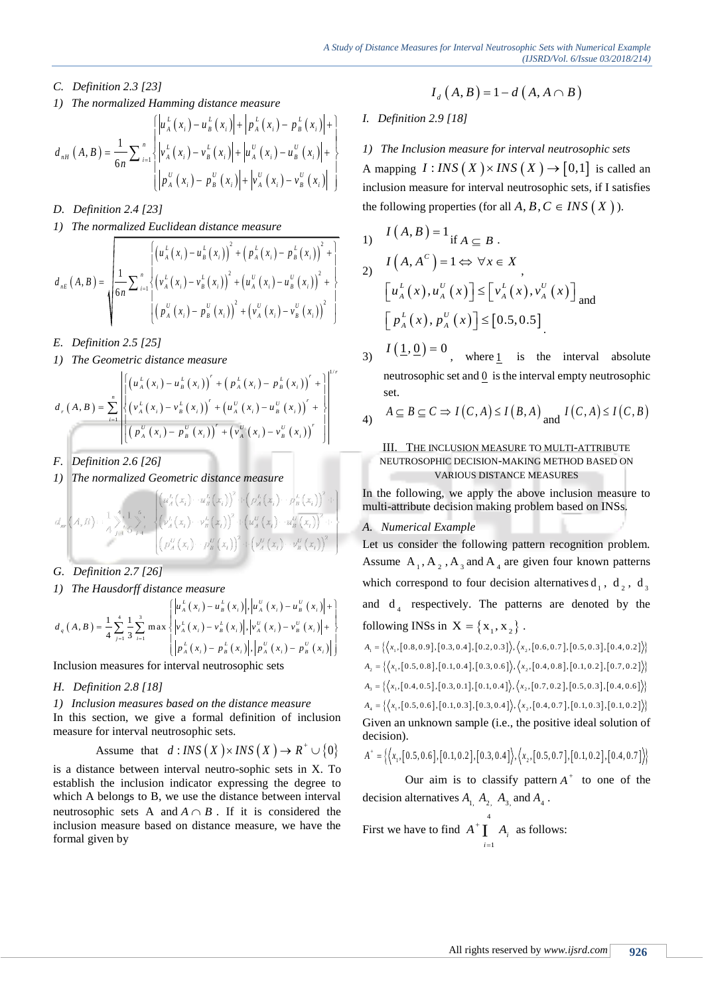- *C. Definition 2.3 [23]*
- 

1) The normalized Hamming distance measure  
\n
$$
d_{nH}(A, B) = \frac{1}{6n} \sum_{i=1}^{n} \left\{ \left| u_A^L(x_i) - u_B^L(x_i) \right| + \left| p_A^L(x_i) - p_B^L(x_i) \right| + \right\}
$$
\n
$$
d_{nH}(A, B) = \frac{1}{6n} \sum_{i=1}^{n} \left\{ \left| v_A^L(x_i) - v_B^L(x_i) \right| + \left| u_A^U(x_i) - u_B^U(x_i) \right| + \right\}
$$
\n
$$
d_{nH}(A, B) = \frac{1}{6n} \sum_{i=1}^{n} \left\{ \left| p_A^U(x_i) - p_B^U(x_i) \right| + \left| v_A^U(x_i) - v_B^U(x_i) \right| \right\}
$$
\n
$$
d_{nH}(X, B) = \frac{1}{6n} \sum_{i=1}^{n} \left\{ \left| p_A^U(x_i) - p_B^U(x_i) \right| + \left| v_A^U(x_i) - v_B^U(x_i) \right| \right\}
$$

- *D. Definition 2.4 [23]*
- 

1) The normalized Euclidean distance measure  
\n
$$
d_{nE}(A, B) = \sqrt{\frac{\left\{\left(u_{A}^{L}(x_{i}) - u_{B}^{L}(x_{i})\right)^{2} + \left(p_{A}^{L}(x_{i}) - p_{B}^{L}(x_{i})\right)^{2} + \left(\frac{1}{6n}\sum_{i=1}^{n}\left(\frac{v_{A}^{L}(x_{i}) - v_{B}^{L}(x_{i})}{v_{A}^{L}(x_{i}) - v_{B}^{L}(x_{i})}\right)^{2} + \left(\frac{u_{A}^{U}(x_{i}) - u_{B}^{U}(x_{i})}{v_{A}^{L}(x_{i}) - p_{B}^{U}(x_{i})}\right)^{2} + \left(\frac{v_{A}^{U}(x_{i}) - v_{B}^{U}(x_{i})}{v_{A}^{L}(x_{i}) - v_{B}^{U}(x_{i})}\right)^{2}}}
$$
\n1)

- *E. Definition 2.5 [25]*
- 

1) The Geometric distance measure  
\n
$$
d_r(A, B) = \sum_{i=1}^n \left\{ \left( u_A^L(x_i) - u_B^L(x_i) \right)' + \left( p_A^L(x_i) - p_B^L(x_i) \right)' + \right\}^{1/r}
$$
\n
$$
d_r(A, B) = \sum_{i=1}^n \left\{ \left( v_A^L(x_i) - v_B^L(x_i) \right)' + \left( u_A^U(x_i) - u_B^U(x_i) \right)' + \right\}^{1/r}
$$
\n
$$
\left( \left( p_A^U(x_i) - p_B^U(x_i) \right)' + \left( v_A^U(x_i) - v_B^U(x_i) \right)' \right) \right\}
$$

- *F. Definition 2.6 [26]*
- *1) The normalized Geometric distance measure*

$$
d_{m}\left(A,B\right):=\frac{1}{4}\sum_{j=1}^{4}\frac{1}{6}\sum_{i=1}^{6}\left(\psi_{A}^{L}\left(x_{i}\right)\cdots\psi_{B}^{L}\left(x_{i}\right)\right)^{2}+\left(p_{A}^{L}\left(x_{i}\right)\cdots p_{B}^{L}\left(x_{i}\right)\right)^{2}+\left(\frac{1}{2}\sum_{j=1}^{4}\frac{1}{6}\sum_{i=1}^{6}\left(\psi_{A}^{L}\left(x_{i}\right)\cdots\psi_{B}^{L}\left(x_{i}\right)\right)^{2}+\left(\frac{1}{2}\psi_{A}^{U}\left(x_{i}\right)\cdots\psi_{B}^{U}\left(x_{i}\right)\right)^{2}+\left(\frac{1}{2}\psi_{A}^{U}\left(x_{i}\right)\cdots\psi_{B}^{U}\left(x_{i}\right)\right)^{2}
$$

- *G. Definition 2.7 [26]*
- 

*1)* The Hausdorff distance measure  
\n
$$
d_q(A, B) = \frac{1}{4} \sum_{j=1}^{4} \frac{1}{3} \sum_{i=1}^{3} \max \begin{cases} \left| u_A^L(x_i) - u_B^L(x_i) \right|, \left| u_A^U(x_i) - u_B^U(x_i) \right| + \\ \left| v_A^L(x_i) - v_B^L(x_i) \right|, \left| v_A^U(x_i) - v_B^U(x_i) \right| + \end{cases}
$$
 and  $d_4$  respectively. The patt  
\nfollowing INSs in  $X = \{x_1, x_2\}$ .  
\n
$$
d_q(A, B) = \frac{1}{4} \sum_{j=1}^{4} \frac{1}{3} \sum_{i=1}^{3} \max \begin{cases} \left| u_A^L(x_i) - u_B^L(x_i) \right|, \left| u_A^U(x_i) - u_B^U(x_i) \right| + \\ \left| v_A^L(x_i) - v_B^L(x_i) \right|, \left| v_A^U(x_i) - v_B^U(x_i) \right| \end{cases}
$$
 follows in  $X = \{x_1, x_2\}$ .

Inclusion measures for interval neutrosophic sets

- *H. Definition 2.8 [18]*
- *1) Inclusion measures based on the distance measure*

In this section, we give a formal definition of inclusion measure for interval neutrosophic sets.

Assume that 
$$
d:INS(X) \times INS(X) \to R^+ \cup \{0\}
$$

is a distance between interval neutro-sophic sets in X. To establish the inclusion indicator expressing the degree to which A belongs to B, we use the distance between interval neutrosophic sets A and  $A \cap B$ . If it is considered the inclusion measure based on distance measure, we have the formal given by

 $I_d(A, B) = 1 - d(A, A \cap B)$ 

# *I. Definition 2.9 [18]*

*1) The Inclusion measure for interval neutrosophic sets* A mapping  $I:INS(X) \times INS(X) \rightarrow [0,1]$  is called an inclusion measure for interval neutrosophic sets, if I satisfies the following properties (for all  $A, B, C \in INS(X)$ ).

1) 
$$
I(A, B) = 1_{\text{if } A \subseteq B}.
$$
  
\n2) 
$$
I(A, A^{c}) = 1 \Leftrightarrow \forall x \in X
$$
  
\n
$$
[u_{A}^{L}(x), u_{A}^{U}(x)] \leq [v_{A}^{L}(x), v_{A}^{U}(x)]_{\text{and}}
$$
  
\n
$$
[p_{A}^{L}(x), p_{A}^{U}(x)] \leq [0.5, 0.5]
$$

- 3)  $I(\underline{1}, \underline{0}) = 0$ , where 1 is the interval absolute neutrosophic set and 0 is the interval empty neutrosophic set.
- 4)  $A \subseteq B \subseteq C \Rightarrow I(C, A) \leq I(B, A)$  and  $I(C, A) \leq I(C, B)$

### III. THE INCLUSION MEASURE TO MULTI-ATTRIBUTE NEUTROSOPHIC DECISION-MAKING METHOD BASED ON VARIOUS DISTANCE MEASURES

In the following, we apply the above inclusion measure to multi-attribute decision making problem based on INSs.

# *A. Numerical Example*

Let us consider the following pattern recognition problem. Assume  $A_1$ ,  $A_2$ ,  $A_3$  and  $A_4$  are given four known patterns which correspond to four decision alternatives  $d_1$ ,  $d_2$ ,  $d_3$ and  $d_4$  respectively. The patterns are denoted by the

following INSS in 
$$
X = \{x_1, x_2\}
$$
.  
\n
$$
A_1 = \{ \langle x_1, [0.8, 0.9], [0.3, 0.4], [0.2, 0.3] \rangle, \langle x_2, [0.6, 0.7], [0.5, 0.3], [0.4, 0.2] \rangle \}
$$
\n
$$
A_2 = \{ \langle x_1, [0.5, 0.8], [0.1, 0.4], [0.3, 0.6] \rangle, \langle x_2, [0.4, 0.8], [0.1, 0.2], [0.7, 0.2] \rangle \}
$$
\n
$$
A_3 = \{ \langle x_1, [0.4, 0.5], [0.3, 0.1], [0.1, 0.4] \rangle, \langle x_2, [0.7, 0.2], [0.5, 0.3], [0.4, 0.6] \rangle \}
$$
\n
$$
A_4 = \{ \langle x_1, [0.5, 0.6], [0.1, 0.3], [0.3, 0.4] \rangle, \langle x_2, [0.4, 0.7], [0.1, 0.3], [0.1, 0.2] \rangle \}
$$

Given an unknown sample (i.e., the positive ideal solution of decision).

decision).  
\n
$$
A^+ = \{ \langle x_1, [0.5, 0.6], [0.1, 0.2], [0.3, 0.4] \rangle, \langle x_2, [0.5, 0.7], [0.1, 0.2], [0.4, 0.7] \rangle \}
$$

Our aim is to classify pattern  $A^+$  to one of the decision alternatives  $A_{1}$ ,  $A_{2}$ ,  $A_{3}$ , and  $A_{4}$ .

First we have to find 4 1  $A^+$ **I**  $A_i$  as follows: *i* =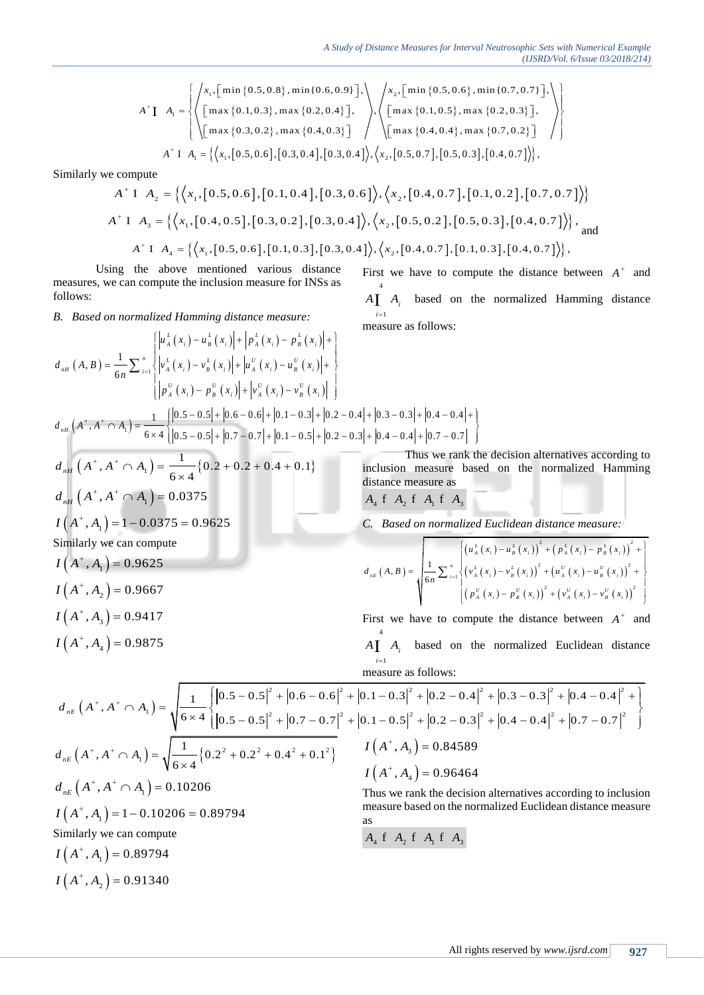$$
A \text{ Study of Distance Measures for Interval Neutrosophic Sets with Numerical Example (JJSRD/Vol. 6/Issue 03/2018/214)
$$
\n
$$
A^* \mathbf{I} \quad A_1 = \left\{ \left\langle x_1, \left[ \min\{0.5, 0.8\}, \min\{0.6, 0.9\} \right], \right\rangle, \left\langle x_2, \left[ \min\{0.5, 0.6\}, \min\{0.7, 0.7\} \right], \right\rangle \right\}
$$
\n
$$
A^* \mathbf{I} \quad A_1 = \left\{ \left\langle x_1, \left[ 0.5, 0.6 \right], \max\{0.4, 0.3\} \right], \left\langle x_2, \left[ 0.3, 0.4 \right], \left[ 0.3, 0.4 \right] \right\rangle, \left\langle x_2, \left[ 0.5, 0.7 \right], \left[ 0.5, 0.3 \right], \left[ 0.4, 0.7 \right] \right\rangle \right\},
$$
\n
$$
A^* \mathbf{I} \quad A_1 = \left\{ \left\langle x_1, \left[ 0.5, 0.6 \right], \left[ 0.3, 0.4 \right], \left[ 0.3, 0.4 \right] \right\rangle, \left\langle x_2, \left[ 0.5, 0.7 \right], \left[ 0.5, 0.3 \right], \left[ 0.4, 0.7 \right] \right\rangle \right\},
$$

Similarly we compute

$$
A^{\dagger} \text{ I } A_1 = \left\{ \left\langle x_1, [0.5, 0.6], [0.3, 0.4], [0.3, 0.4] \right\rangle, \left\langle x_2, [0.5, 0.7], [0.5, 0.3], [0.4, 0.7] \right\rangle \right\},\
$$
  
 e compute  
\n
$$
A^{\dagger} \text{ I } A_2 = \left\{ \left\langle x_1, [0.5, 0.6], [0.1, 0.4], [0.3, 0.6] \right\rangle, \left\langle x_2, [0.4, 0.7], [0.1, 0.2], [0.7, 0.7] \right\rangle \right\}
$$
  
\n
$$
A^{\dagger} \text{ I } A_3 = \left\{ \left\langle x_1, [0.4, 0.5], [0.3, 0.2], [0.3, 0.4] \right\rangle, \left\langle x_2, [0.5, 0.2], [0.5, 0.3], [0.4, 0.7] \right\rangle \right\},\
$$
 and  
\n
$$
A^{\dagger} \text{ I } A_4 = \left\{ \left\langle x_1, [0.5, 0.6], [0.1, 0.3], [0.3, 0.4] \right\rangle, \left\langle x_2, [0.4, 0.7], [0.1, 0.3], [0.4, 0.7] \right\rangle \right\},
$$

Using the above mentioned various distance measures, we can compute the inclusion measure for INSs as follows:

B. Based on normalized Hamming distance measure:  
\n
$$
d_{nH}(A, B) = \frac{1}{6n} \sum_{i=1}^{n} \begin{cases} \left| u_{A}^{L}(x_{i}) - u_{B}^{L}(x_{i}) \right| + \left| p_{A}^{L}(x_{i}) - p_{B}^{L}(x_{i}) \right| + \\ v_{A}^{L}(x_{i}) - v_{B}^{L}(x_{i}) \right| + \left| u_{A}^{U}(x_{i}) - u_{B}^{U}(x_{i}) \right| + \\ v_{A}^{U}(x_{i}) - p_{B}^{U}(x_{i}) \right| + \left| v_{A}^{U}(x_{i}) - v_{B}^{U}(x_{i}) \right| \end{cases}
$$
\n
$$
d_{nH}(A^{*}, A^{*} \cap A_{1}) = \frac{1}{6 \times 4} \left\{ \left| 0.5 - 0.5 \right| + \left| 0.6 - 0.6 \right| + \left| 0.1 - 0.3 \right| + \left| 0.2 - 0.4 \right| + \left| 0.3 - 0.3 \right| + \left| 0.4 - 0.4 \right| + \left| 0.7 - 0.7 \right| \right\}
$$
\nThus, we rank the decision

$$
d_{nH} \left( A^+, A^+ \cap A_1 \right) = \frac{1}{6 \times 4} \{ 0.2 + 0.2 + 0.4 + 0.1 \}
$$
  
\n
$$
d_{nH} \left( A^+, A^+ \cap A_1 \right) = 0.0375
$$
  
\n
$$
I \left( A^+, A_1 \right) = 1 - 0.0375 = 0.9625
$$
  
\nSimilarly we can compute  
\n
$$
I \left( A^+, A_1 \right) = 0.9625
$$
  
\n
$$
I \left( A^+, A_2 \right) = 0.9667
$$
  
\n
$$
I \left( A^+, A_3 \right) = 0.9417
$$

First we have to compute the distance between  $A^+$  and 4 1 *i*  $A$ **I**  $A$ <sup>*i*</sup> based on the normalized Hamming distance measure as follows:

Thus we rank the decision alternatives according to inclusion measure based on the normalized Hamming distance measure as

$$
A_4 f A_2 f A_1 f A_3
$$

C. Based on normalized Euclidean distance measure:  
\n
$$
d_{nE}(A, B) = \sqrt{\frac{\left\{\left(u_{A}^{L}(x_{i}) - u_{B}^{L}(x_{i})\right)^{2} + \left(p_{A}^{L}(x_{i}) - p_{B}^{L}(x_{i})\right)^{2} + \right\}}{\left\{\left(v_{A}^{L}(x_{i}) - v_{B}^{L}(x_{i})\right)^{2} + \left(u_{A}^{U}(x_{i}) - u_{B}^{U}(x_{i})\right)^{2} + \right\}} \left[\left(p_{A}^{U}(x_{i}) - p_{B}^{U}(x_{i})\right)^{2} + \left(v_{A}^{U}(x_{i}) - v_{B}^{U}(x_{i})\right)^{2}\right]
$$

First we have to compute the distance between  $A^+$  and 4 1 *i*

measure as follows:

$$
I(A^+, A_4) = 0.9875
$$
  
\n
$$
A\int_{i=1}^{4} A_i
$$
 based on the normalized Euclidean distance  
\nmeasure as follows:  
\n
$$
d_{nE}(A^+, A^+ \cap A_1) = \sqrt{\frac{1}{6 \times 4} \left\{ |0.5 - 0.5|^2 + |0.7 - 0.7|^2 + |0.1 - 0.3|^2 + |0.2 - 0.4|^2 + |0.3 - 0.3|^2 + |0.4 - 0.4|^2 + |0.3 - 0.7|^2 \right\}}
$$
  
\n
$$
d_{nE}(A^+, A^+ \cap A_1) = \sqrt{\frac{1}{6 \times 4} \left\{ |0.2^2 + 0.2^2 + 0.4^2 + 0.1^2 \right\}}
$$
  
\n
$$
I(A^+, A_4) = 0.96464
$$
  
\nThus we rank the decision alternatives according to inclusion  
\nmeasure based on the normalized Euclidean distance measure  
\n
$$
I(A^+, A_4) = 0.96464
$$
  
\nThus we rank the decision alternatives according to inclusion  
\nmeasure based on the normalized Euclidean distance measure  
\nas  
\n3  
\nSimilarly we can compute

Similarly we can compute  $I(A^+, A_1) = 0.89794$ 

 $I(A^+, A_2) = 0.91340$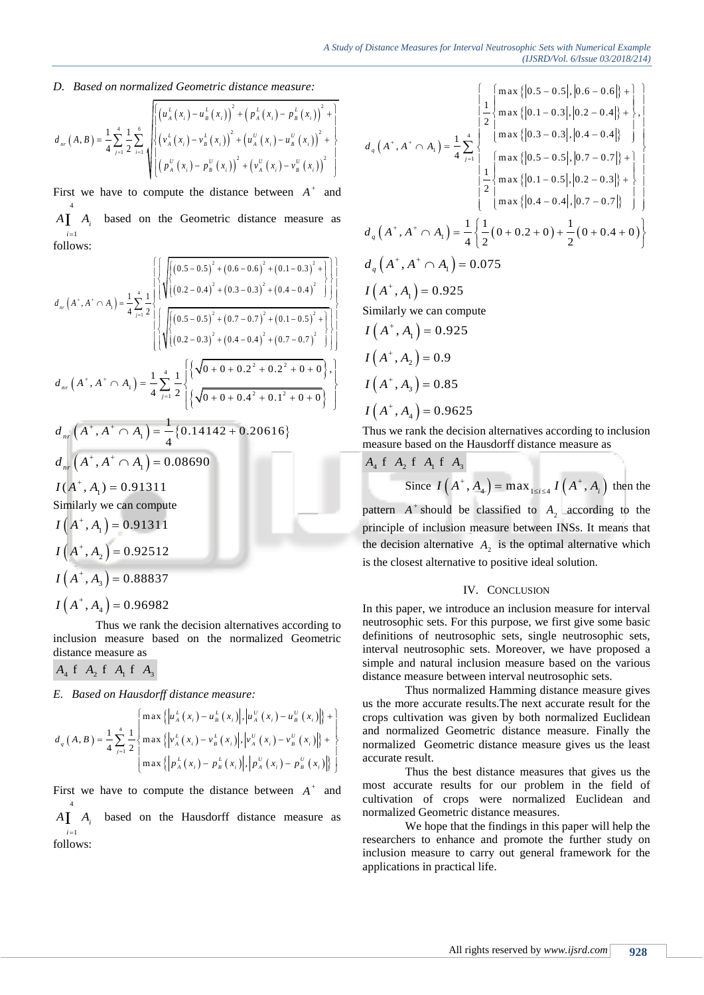D. Based on normalized Geometric distance measure:  
\n
$$
d_{nr}(A, B) = \frac{1}{4} \sum_{j=1}^{4} \frac{1}{2} \sum_{i=1}^{6} \sqrt{\left[ \left( u_{A}^{L}(x_{i}) - u_{B}^{L}(x_{i}) \right)^{2} + \left( p_{A}^{L}(x_{i}) - p_{B}^{L}(x_{i}) \right)^{2} + \left( p_{A}^{L}(x_{i}) - p_{B}^{L}(x_{i}) \right)^{2} + \left( p_{A}^{L}(x_{i}) - p_{B}^{L}(x_{i}) \right)^{2} + \left( p_{A}^{L}(x_{i}) - p_{B}^{L}(x_{i}) \right)^{2} + \left( p_{A}^{L}(x_{i}) - p_{B}^{L}(x_{i}) \right)^{2} + \left( p_{A}^{L}(x_{i}) - p_{B}^{L}(x_{i}) \right)^{2} \right]}
$$

First we have to compute the distance between  $A^+$  and 4 1 *i*  $A\mathbf{I}$   $A_i$ based on the Geometric distance measure as follows:

follows:  
\n
$$
d_{ar}(A^*, A^* \cap A_1) = \frac{1}{4} \sum_{j=1}^{4} \frac{1}{2} \left\{ \sqrt{\left[ (0.5 - 0.5)^2 + (0.6 - 0.6)^2 + (0.1 - 0.3)^2 + (0.4 - 0.4)^2 \right]} \right\} \left\{ \sqrt{\left[ (0.2 - 0.4)^2 + (0.3 - 0.3)^2 + (0.4 - 0.4)^2 \right]} \right\} \left\{ \sqrt{\left[ (0.5 - 0.5)^2 + (0.7 - 0.7)^2 + (0.1 - 0.5)^2 + (0.1 - 0.5)^2 \right]} \right\} \left\{ \sqrt{\left[ (0.2 - 0.3)^2 + (0.4 - 0.4)^2 + (0.7 - 0.7)^2 \right]} \right\} \left\{ \sqrt{\left[ (0.2 - 0.3)^2 + (0.4 - 0.4)^2 + (0.7 - 0.7)^2 \right]} \right\} \left\{ \sqrt{\left[ (0.2 - 0.3)^2 + (0.4 - 0.4)^2 + (0.7 - 0.7)^2 \right]} \right\} \left\{ \sqrt{\left[ (0.2 - 0.4)^2 + (0.4 - 0.4)^2 + (0.7 - 0.7)^2 \right]} \right\} \left\{ \sqrt{\left[ (0.2 - 0.4)^2 + (0.4 - 0.4)^2 + (0.7 - 0.7)^2 \right]} \right\} \left\{ \sqrt{\left[ (0.2 - 0.4)^2 + (0.4 - 0.4)^2 + (0.7 - 0.7)^2 \right]} \right\} \left\{ \sqrt{\left[ (0.2 - 0.4)^2 + (0.4 - 0.4)^2 + (0.7 - 0.7)^2 \right]} \right\} \left\{ \sqrt{\left[ (0.2 - 0.4)^2 + (0.4 - 0.4)^2 + (0.7 - 0.7)^2 \right]} \right\} \left\{ \sqrt{\left[ (0.2 - 0.4)^2 + (0.4 - 0.4)^2 + (0.7 - 0.7)^2 \right]} \right\} \left\{ \sqrt{\left[ (0.2 - 0.4)^2 + (0.4 - 0.4)^2 + (0.7 - 0.7)^2 \right]} \right\} \left\{ \sqrt{\left[ (0.2 - 0.4)^2 + (0.4
$$

$$
I(A^+, A_3) = 0.88837
$$

 $I(A^+, A_4) = 0.96982$ 

Thus we rank the decision alternatives according to inclusion measure based on the normalized Geometric distance measure as

$$
A_4
$$
 f  $A_2$  f  $A_1$  f  $A_3$ 

E. Based on Hausdorff distance measure:  
\n
$$
d_q(A, B) = \frac{1}{4} \sum_{j=1}^{4} \frac{1}{2} \begin{cases} \max \left\{ \left| u_A^L(x_i) - u_B^L(x_i) \right|, \left| u_A^U(x_i) - u_B^U(x_i) \right| \right\} + \\ \max \left\{ \left| v_A^L(x_i) - v_B^L(x_i) \right|, \left| v_A^U(x_i) - v_B^U(x_i) \right| \right\} + \\ \max \left\{ \left| p_A^L(x_i) - p_B^L(x_i) \right|, \left| p_A^U(x_i) - p_B^U(x_i) \right| \right\} \end{cases}
$$

First we have to compute the distance between  $A^+$  and 4 1 *i*  $A\left[\right]$   $A_i$  based on the Hausdorff distance measure as follows:

 , 0.075 <sup>1</sup> *q d A A A* , 0.925 <sup>1</sup> *I A A* Similarly we can compute , 0.925 <sup>1</sup> *I A A* , 0.9 <sup>2</sup> *I A A* , 0.85 <sup>3</sup> *I A A* , 0.9625 <sup>4</sup> *I A A* 4 1 1 m ax 0.5 0.5 , 0.6 0.6 1 m ax 0.1 0.3 , 0.2 0.4 , 2 m ax 0.3 0.3 , 0.4 0.4 <sup>1</sup> , <sup>4</sup> m ax 0.5 0.5 , 0.7 0.7 1 m ax 0.1 0.5 , 0.2 0.3 2 m ax 0.4 0.4 , 0.7 0.7 *<sup>q</sup> j d A A A* <sup>1</sup> 1 1 1 , 0 0.2 0 0 0.4 0 4 2 2 *<sup>q</sup> d A A A*

Thus we rank the decision alternatives according to inclusion measure based on the Hausdorff distance measure as

$$
A_4 \tA_2 \tA_1 \tA_3
$$
  
Since  $I(A^+, A_4) = \max_{1 \le i \le 4} I(A^+, A_i)$  then the

pattern  $A^+$  should be classified to  $A_2$  according to the principle of inclusion measure between INSs. It means that the decision alternative  $A_2$  is the optimal alternative which is the closest alternative to positive ideal solution.

#### IV. CONCLUSION

In this paper, we introduce an inclusion measure for interval neutrosophic sets. For this purpose, we first give some basic definitions of neutrosophic sets, single neutrosophic sets, interval neutrosophic sets. Moreover, we have proposed a simple and natural inclusion measure based on the various distance measure between interval neutrosophic sets.

Thus normalized Hamming distance measure gives us the more accurate results.The next accurate result for the crops cultivation was given by both normalized Euclidean and normalized Geometric distance measure. Finally the normalized Geometric distance measure gives us the least accurate result.

Thus the best distance measures that gives us the most accurate results for our problem in the field of cultivation of crops were normalized Euclidean and normalized Geometric distance measures.

We hope that the findings in this paper will help the researchers to enhance and promote the further study on inclusion measure to carry out general framework for the applications in practical life.